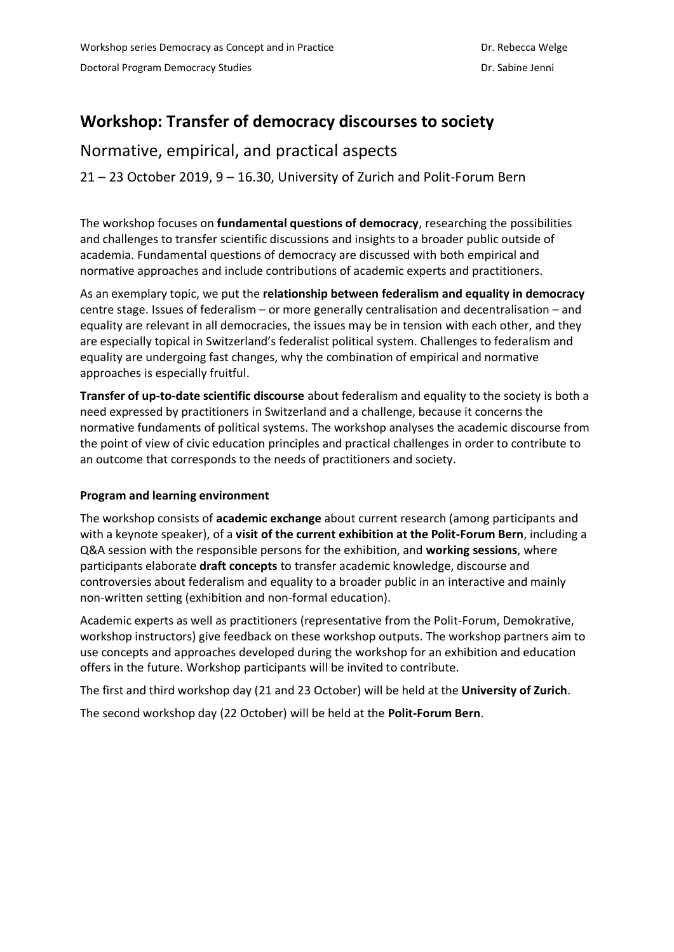# **Workshop: Transfer of democracy discourses to society**

# Normative, empirical, and practical aspects

21 – 23 October 2019, 9 – 16.30, University of Zurich and Polit-Forum Bern

The workshop focuses on **fundamental questions of democracy**, researching the possibilities and challenges to transfer scientific discussions and insights to a broader public outside of academia. Fundamental questions of democracy are discussed with both empirical and normative approaches and include contributions of academic experts and practitioners.

As an exemplary topic, we put the **relationship between federalism and equality in democracy** centre stage. Issues of federalism – or more generally centralisation and decentralisation – and equality are relevant in all democracies, the issues may be in tension with each other, and they are especially topical in Switzerland's federalist political system. Challenges to federalism and equality are undergoing fast changes, why the combination of empirical and normative approaches is especially fruitful.

**Transfer of up-to-date scientific discourse** about federalism and equality to the society is both a need expressed by practitioners in Switzerland and a challenge, because it concerns the normative fundaments of political systems. The workshop analyses the academic discourse from the point of view of civic education principles and practical challenges in order to contribute to an outcome that corresponds to the needs of practitioners and society.

#### **Program and learning environment**

The workshop consists of **academic exchange** about current research (among participants and with a keynote speaker), of a **visit of the current exhibition at the Polit-Forum Bern**, including a Q&A session with the responsible persons for the exhibition, and **working sessions**, where participants elaborate **draft concepts** to transfer academic knowledge, discourse and controversies about federalism and equality to a broader public in an interactive and mainly non-written setting (exhibition and non-formal education).

Academic experts as well as practitioners (representative from the Polit-Forum, Demokrative, workshop instructors) give feedback on these workshop outputs. The workshop partners aim to use concepts and approaches developed during the workshop for an exhibition and education offers in the future. Workshop participants will be invited to contribute.

The first and third workshop day (21 and 23 October) will be held at the **University of Zurich**.

The second workshop day (22 October) will be held at the **Polit-Forum Bern**.